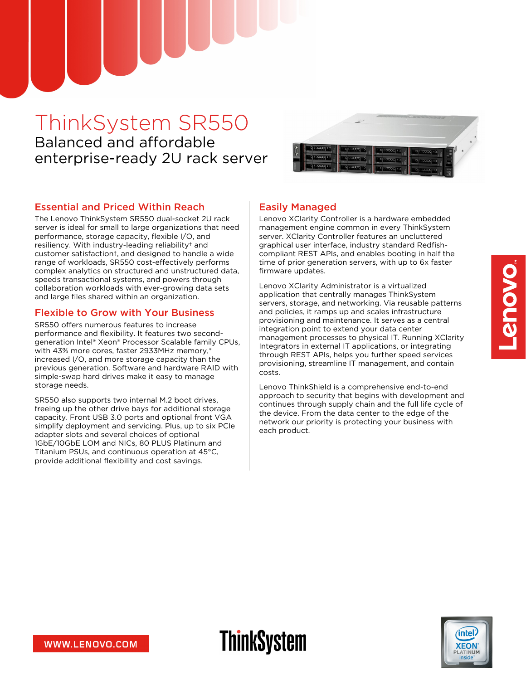# ThinkSystem SR550 Balanced and affordable enterprise-ready 2U rack server



### Essential and Priced Within Reach

The Lenovo ThinkSystem SR550 dual-socket 2U rack server is ideal for small to large organizations that need performance, storage capacity, flexible I/O, and resiliency. With industry-leading reliability† and customer satisfaction‡, and designed to handle a wide range of workloads, SR550 cost-effectively performs complex analytics on structured and unstructured data, speeds transactional systems, and powers through collaboration workloads with ever-growing data sets and large files shared within an organization.

### Flexible to Grow with Your Business

SR550 offers numerous features to increase performance and flexibility. It features two secondgeneration Intel® Xeon® Processor Scalable family CPUs, with 43% more cores, faster 2933MHz memory,\* increased I/O, and more storage capacity than the previous generation. Software and hardware RAID with simple-swap hard drives make it easy to manage storage needs.

SR550 also supports two internal M.2 boot drives, freeing up the other drive bays for additional storage capacity. Front USB 3.0 ports and optional front VGA simplify deployment and servicing. Plus, up to six PCIe adapter slots and several choices of optional 1GbE/10GbE LOM and NICs, 80 PLUS Platinum and Titanium PSUs, and continuous operation at 45°C, provide additional flexibility and cost savings.

## Easily Managed

**ThinkSystem** 

Lenovo XClarity Controller is a hardware embedded management engine common in every ThinkSystem server. XClarity Controller features an uncluttered graphical user interface, industry standard Redfishcompliant REST APIs, and enables booting in half the time of prior generation servers, with up to 6x faster firmware updates.

Lenovo XClarity Administrator is a virtualized application that centrally manages ThinkSystem servers, storage, and networking. Via reusable patterns and policies, it ramps up and scales infrastructure provisioning and maintenance. It serves as a central integration point to extend your data center management processes to physical IT. Running XClarity Integrators in external IT applications, or integrating through REST APIs, helps you further speed services provisioning, streamline IT management, and contain costs.

Lenovo ThinkShield is a comprehensive end-to-end approach to security that begins with development and continues through supply chain and the full life cycle of the device. From the data center to the edge of the network our priority is protecting your business with each product.